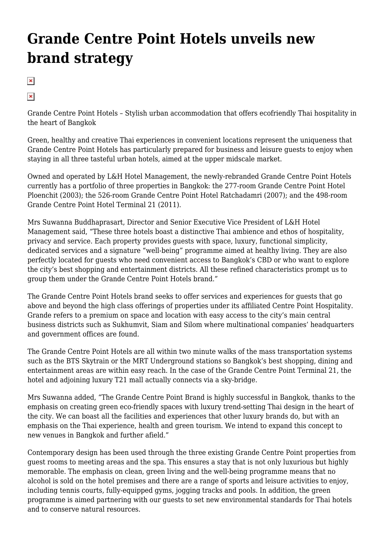## **[Grande Centre Point Hotels unveils new](https://www.thaimediapr.com/grande-centre-point-hotels-unveils-new-brand-strategy/) [brand strategy](https://www.thaimediapr.com/grande-centre-point-hotels-unveils-new-brand-strategy/)**

 $\pmb{\times}$ 

 $\pmb{\times}$ 

Grande Centre Point Hotels – Stylish urban accommodation that offers ecofriendly Thai hospitality in the heart of Bangkok

Green, healthy and creative Thai experiences in convenient locations represent the uniqueness that Grande Centre Point Hotels has particularly prepared for business and leisure guests to enjoy when staying in all three tasteful urban hotels, aimed at the upper midscale market.

Owned and operated by L&H Hotel Management, the newly-rebranded Grande Centre Point Hotels currently has a portfolio of three properties in Bangkok: the 277-room Grande Centre Point Hotel Ploenchit (2003); the 526-room Grande Centre Point Hotel Ratchadamri (2007); and the 498-room Grande Centre Point Hotel Terminal 21 (2011).

Mrs Suwanna Buddhaprasart, Director and Senior Executive Vice President of L&H Hotel Management said, "These three hotels boast a distinctive Thai ambience and ethos of hospitality, privacy and service. Each property provides guests with space, luxury, functional simplicity, dedicated services and a signature "well-being" programme aimed at healthy living. They are also perfectly located for guests who need convenient access to Bangkok's CBD or who want to explore the city's best shopping and entertainment districts. All these refined characteristics prompt us to group them under the Grande Centre Point Hotels brand."

The Grande Centre Point Hotels brand seeks to offer services and experiences for guests that go above and beyond the high class offerings of properties under its affiliated Centre Point Hospitality. Grande refers to a premium on space and location with easy access to the city's main central business districts such as Sukhumvit, Siam and Silom where multinational companies' headquarters and government offices are found.

The Grande Centre Point Hotels are all within two minute walks of the mass transportation systems such as the BTS Skytrain or the MRT Underground stations so Bangkok's best shopping, dining and entertainment areas are within easy reach. In the case of the Grande Centre Point Terminal 21, the hotel and adjoining luxury T21 mall actually connects via a sky-bridge.

Mrs Suwanna added, "The Grande Centre Point Brand is highly successful in Bangkok, thanks to the emphasis on creating green eco-friendly spaces with luxury trend-setting Thai design in the heart of the city. We can boast all the facilities and experiences that other luxury brands do, but with an emphasis on the Thai experience, health and green tourism. We intend to expand this concept to new venues in Bangkok and further afield."

Contemporary design has been used through the three existing Grande Centre Point properties from guest rooms to meeting areas and the spa. This ensures a stay that is not only luxurious but highly memorable. The emphasis on clean, green living and the well-being programme means that no alcohol is sold on the hotel premises and there are a range of sports and leisure activities to enjoy, including tennis courts, fully-equipped gyms, jogging tracks and pools. In addition, the green programme is aimed partnering with our guests to set new environmental standards for Thai hotels and to conserve natural resources.